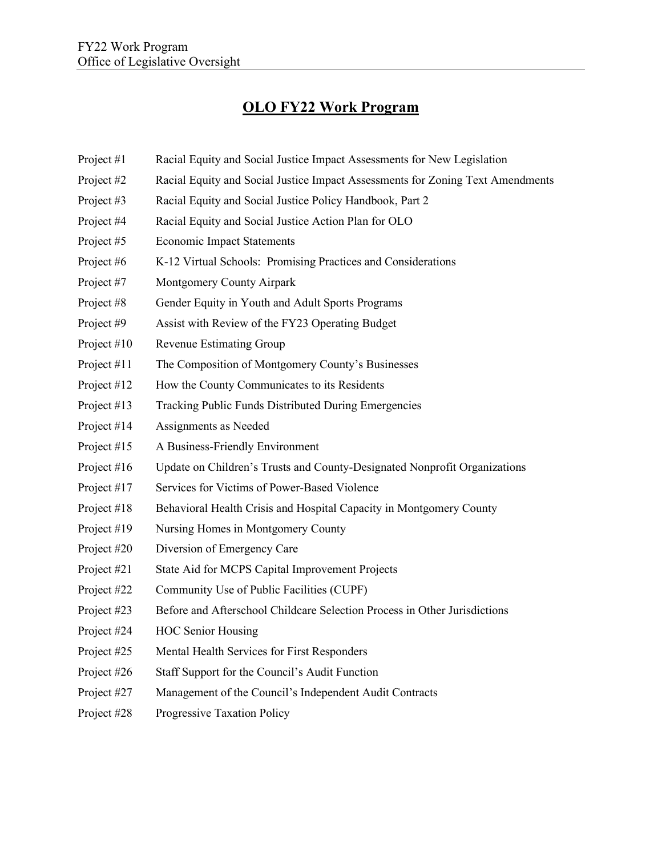### **OLO FY22 Work Program**

- Project #1 Racial Equity and Social Justice Impact Assessments for New Legislation
- Project #2 Racial Equity and Social Justice Impact Assessments for Zoning Text Amendments
- Project #3 Racial Equity and Social Justice Policy Handbook, Part 2
- Project #4 Racial Equity and Social Justice Action Plan for OLO
- Project #5 Economic Impact Statements
- Project #6 K-12 Virtual Schools: Promising Practices and Considerations
- Project #7 Montgomery County Airpark
- Project #8 Gender Equity in Youth and Adult Sports Programs
- Project #9 Assist with Review of the FY23 Operating Budget
- Project #10 Revenue Estimating Group
- Project #11 The Composition of Montgomery County's Businesses
- Project #12 How the County Communicates to its Residents
- Project #13 Tracking Public Funds Distributed During Emergencies
- Project #14 Assignments as Needed
- Project #15 A Business-Friendly Environment
- Project #16 Update on Children's Trusts and County-Designated Nonprofit Organizations
- Project #17 Services for Victims of Power-Based Violence
- Project #18 Behavioral Health Crisis and Hospital Capacity in Montgomery County
- Project #19 Nursing Homes in Montgomery County
- Project #20 Diversion of Emergency Care
- Project #21 State Aid for MCPS Capital Improvement Projects
- Project #22 Community Use of Public Facilities (CUPF)
- Project #23 Before and Afterschool Childcare Selection Process in Other Jurisdictions
- Project #24 HOC Senior Housing
- Project #25 Mental Health Services for First Responders
- Project #26 Staff Support for the Council's Audit Function
- Project #27 Management of the Council's Independent Audit Contracts
- Project #28 Progressive Taxation Policy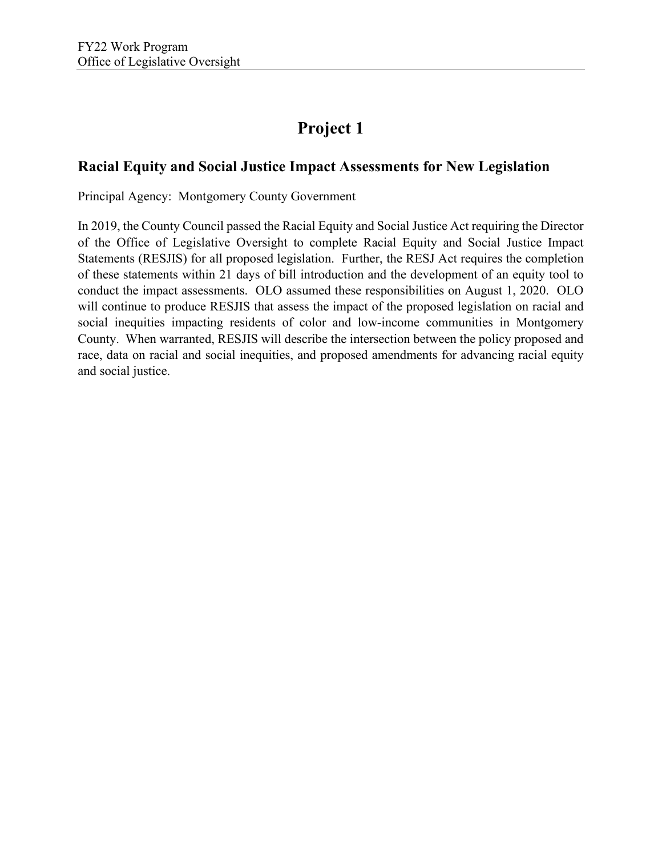#### **Racial Equity and Social Justice Impact Assessments for New Legislation**

Principal Agency: Montgomery County Government

In 2019, the County Council passed the Racial Equity and Social Justice Act requiring the Director of the Office of Legislative Oversight to complete Racial Equity and Social Justice Impact Statements (RESJIS) for all proposed legislation. Further, the RESJ Act requires the completion of these statements within 21 days of bill introduction and the development of an equity tool to conduct the impact assessments. OLO assumed these responsibilities on August 1, 2020. OLO will continue to produce RESJIS that assess the impact of the proposed legislation on racial and social inequities impacting residents of color and low-income communities in Montgomery County. When warranted, RESJIS will describe the intersection between the policy proposed and race, data on racial and social inequities, and proposed amendments for advancing racial equity and social justice.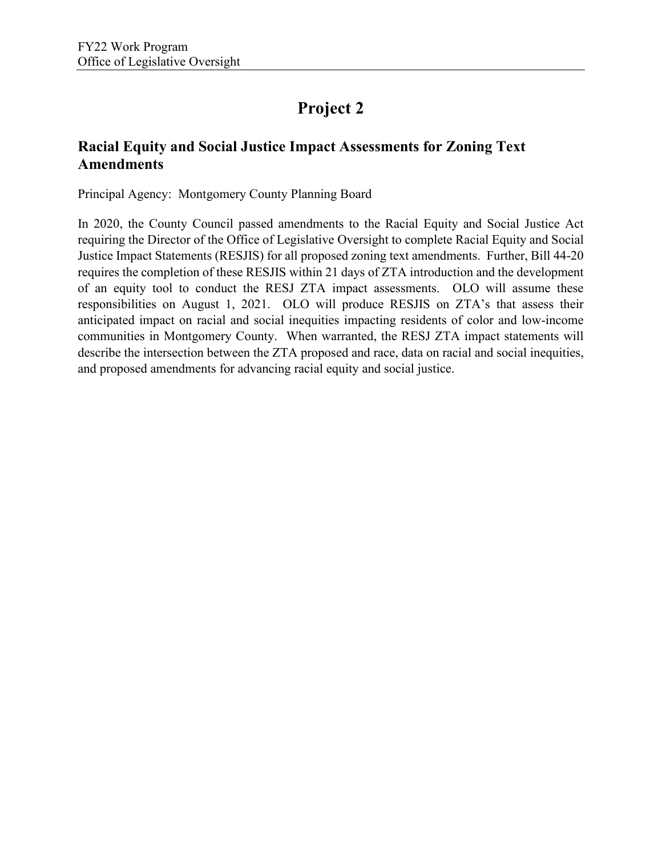### **Racial Equity and Social Justice Impact Assessments for Zoning Text Amendments**

Principal Agency: Montgomery County Planning Board

In 2020, the County Council passed amendments to the Racial Equity and Social Justice Act requiring the Director of the Office of Legislative Oversight to complete Racial Equity and Social Justice Impact Statements (RESJIS) for all proposed zoning text amendments. Further, Bill 44-20 requires the completion of these RESJIS within 21 days of ZTA introduction and the development of an equity tool to conduct the RESJ ZTA impact assessments. OLO will assume these responsibilities on August 1, 2021. OLO will produce RESJIS on ZTA's that assess their anticipated impact on racial and social inequities impacting residents of color and low-income communities in Montgomery County. When warranted, the RESJ ZTA impact statements will describe the intersection between the ZTA proposed and race, data on racial and social inequities, and proposed amendments for advancing racial equity and social justice.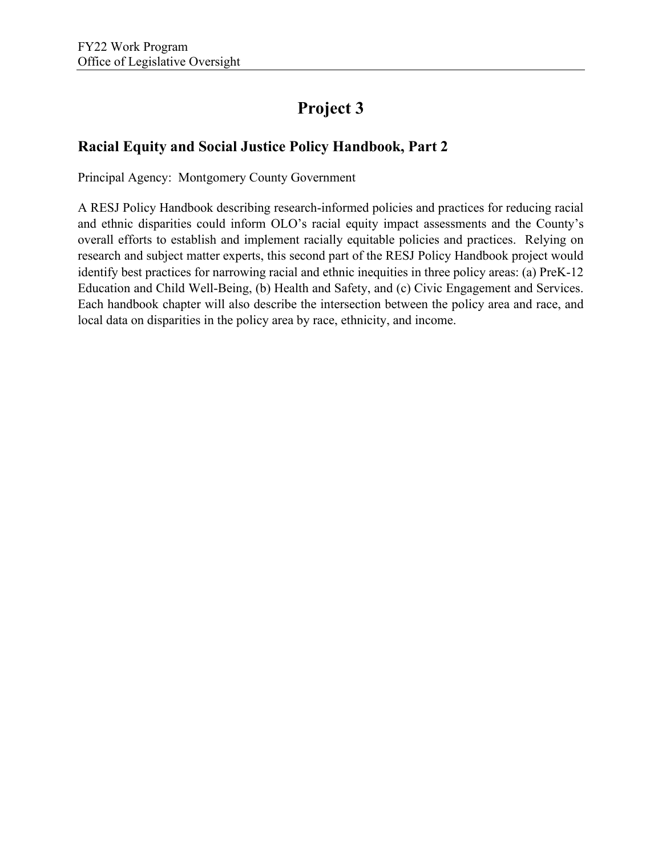### **Racial Equity and Social Justice Policy Handbook, Part 2**

Principal Agency: Montgomery County Government

A RESJ Policy Handbook describing research-informed policies and practices for reducing racial and ethnic disparities could inform OLO's racial equity impact assessments and the County's overall efforts to establish and implement racially equitable policies and practices. Relying on research and subject matter experts, this second part of the RESJ Policy Handbook project would identify best practices for narrowing racial and ethnic inequities in three policy areas: (a) PreK-12 Education and Child Well-Being, (b) Health and Safety, and (c) Civic Engagement and Services. Each handbook chapter will also describe the intersection between the policy area and race, and local data on disparities in the policy area by race, ethnicity, and income.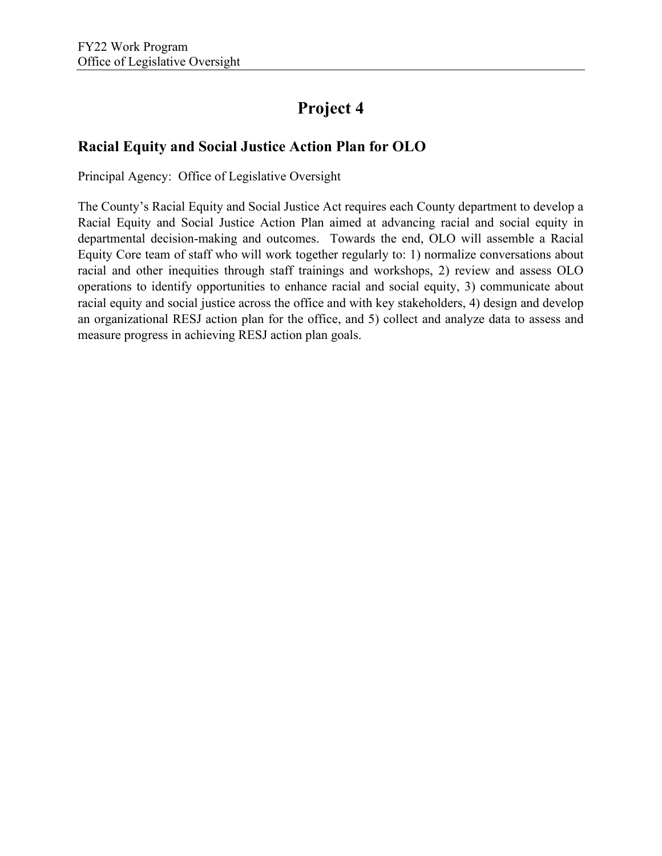### **Racial Equity and Social Justice Action Plan for OLO**

Principal Agency: Office of Legislative Oversight

The County's Racial Equity and Social Justice Act requires each County department to develop a Racial Equity and Social Justice Action Plan aimed at advancing racial and social equity in departmental decision-making and outcomes. Towards the end, OLO will assemble a Racial Equity Core team of staff who will work together regularly to: 1) normalize conversations about racial and other inequities through staff trainings and workshops, 2) review and assess OLO operations to identify opportunities to enhance racial and social equity, 3) communicate about racial equity and social justice across the office and with key stakeholders, 4) design and develop an organizational RESJ action plan for the office, and 5) collect and analyze data to assess and measure progress in achieving RESJ action plan goals.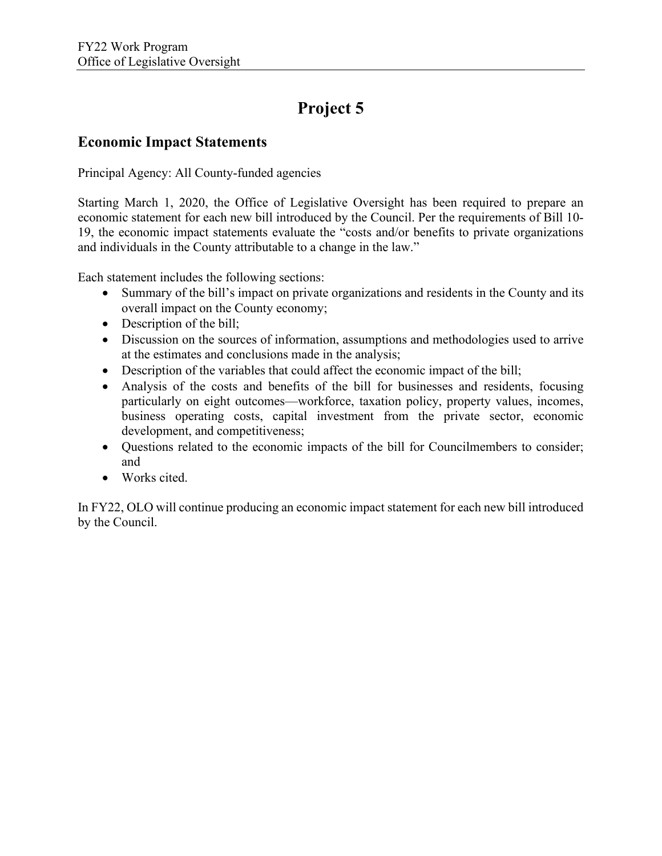#### **Economic Impact Statements**

Principal Agency: All County-funded agencies

Starting March 1, 2020, the Office of Legislative Oversight has been required to prepare an economic statement for each new bill introduced by the Council. Per the requirements of Bill 10- 19, the economic impact statements evaluate the "costs and/or benefits to private organizations and individuals in the County attributable to a change in the law."

Each statement includes the following sections:

- Summary of the bill's impact on private organizations and residents in the County and its overall impact on the County economy;
- Description of the bill;
- Discussion on the sources of information, assumptions and methodologies used to arrive at the estimates and conclusions made in the analysis;
- Description of the variables that could affect the economic impact of the bill;
- Analysis of the costs and benefits of the bill for businesses and residents, focusing particularly on eight outcomes—workforce, taxation policy, property values, incomes, business operating costs, capital investment from the private sector, economic development, and competitiveness;
- Questions related to the economic impacts of the bill for Councilmembers to consider; and
- Works cited.

In FY22, OLO will continue producing an economic impact statement for each new bill introduced by the Council.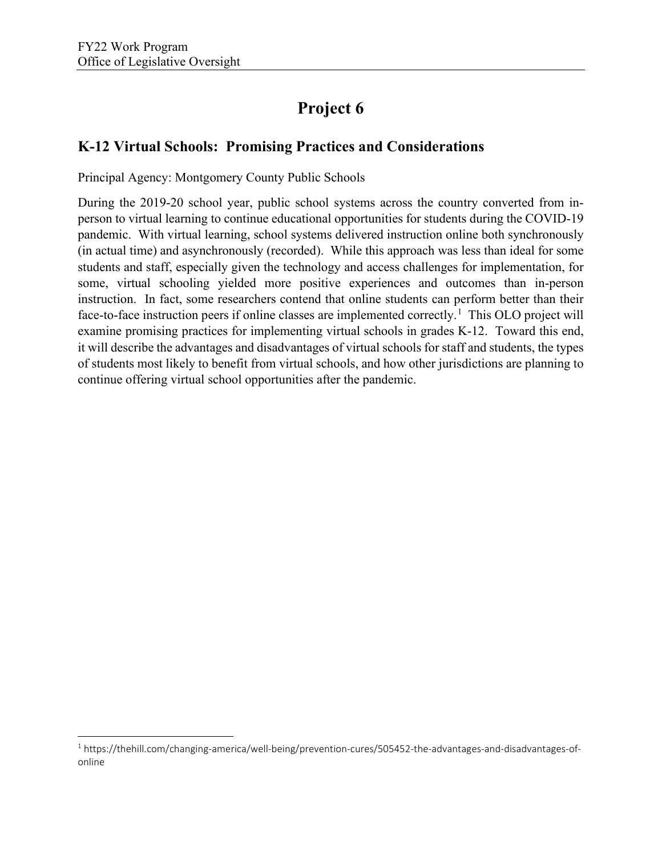#### **K-12 Virtual Schools: Promising Practices and Considerations**

Principal Agency: Montgomery County Public Schools

During the 2019-20 school year, public school systems across the country converted from inperson to virtual learning to continue educational opportunities for students during the COVID-19 pandemic. With virtual learning, school systems delivered instruction online both synchronously (in actual time) and asynchronously (recorded). While this approach was less than ideal for some students and staff, especially given the technology and access challenges for implementation, for some, virtual schooling yielded more positive experiences and outcomes than in-person instruction. In fact, some researchers contend that online students can perform better than their face-to-face instruction peers if online classes are implemented correctly.<sup>[1](#page-6-0)</sup> This OLO project will examine promising practices for implementing virtual schools in grades K-12. Toward this end, it will describe the advantages and disadvantages of virtual schools for staff and students, the types of students most likely to benefit from virtual schools, and how other jurisdictions are planning to continue offering virtual school opportunities after the pandemic.

<span id="page-6-0"></span><sup>1</sup> https://thehill.com/changing-america/well-being/prevention-cures/505452-the-advantages-and-disadvantages-ofonline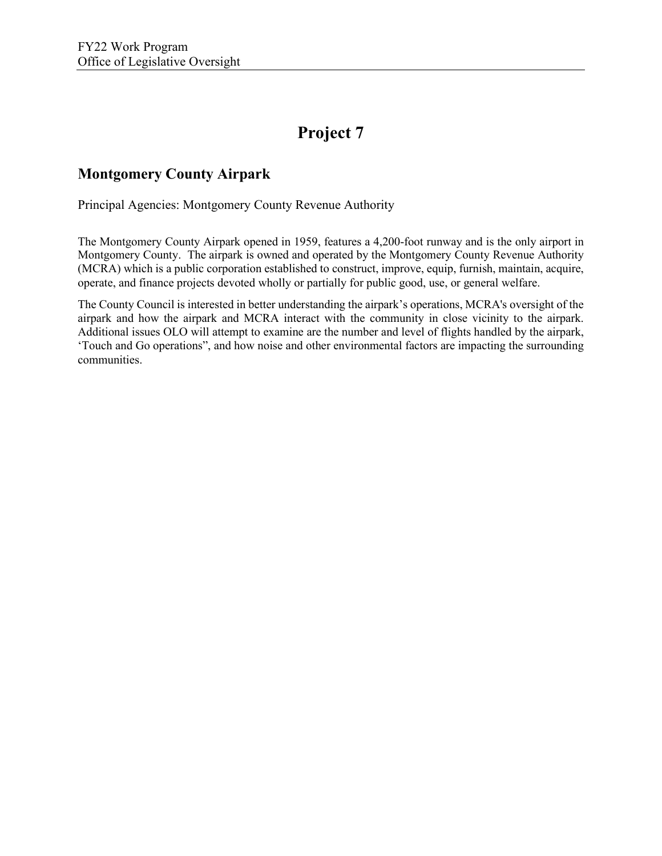### **Montgomery County Airpark**

Principal Agencies: Montgomery County Revenue Authority

The Montgomery County Airpark opened in 1959, features a 4,200-foot runway and is the only airport in Montgomery County. The airpark is owned and operated by the Montgomery County Revenue Authority (MCRA) which is a public corporation established to construct, improve, equip, furnish, maintain, acquire, operate, and finance projects devoted wholly or partially for public good, use, or general welfare.

The County Council is interested in better understanding the airpark's operations, MCRA's oversight of the airpark and how the airpark and MCRA interact with the community in close vicinity to the airpark. Additional issues OLO will attempt to examine are the number and level of flights handled by the airpark, 'Touch and Go operations", and how noise and other environmental factors are impacting the surrounding communities.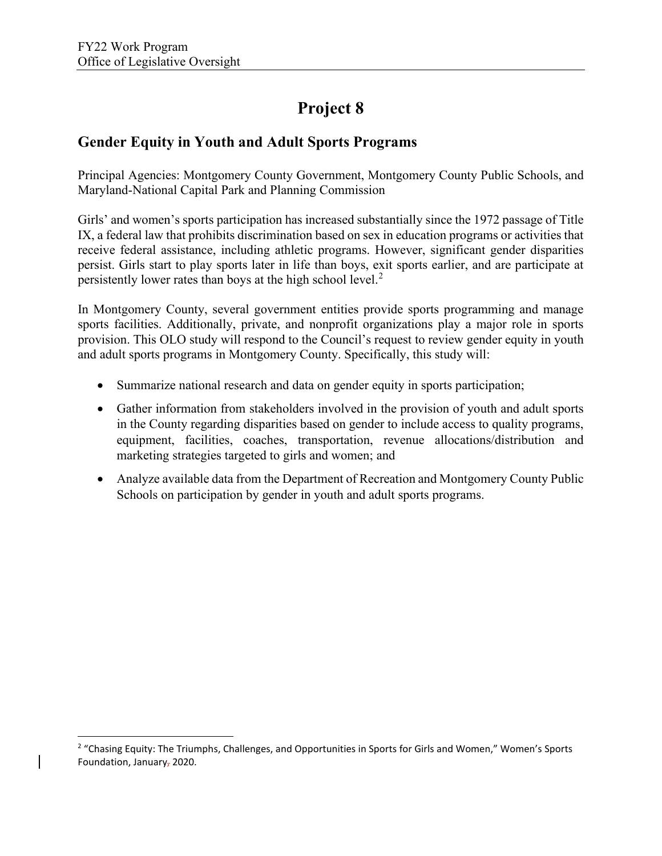### **Gender Equity in Youth and Adult Sports Programs**

Principal Agencies: Montgomery County Government, Montgomery County Public Schools, and Maryland-National Capital Park and Planning Commission

Girls' and women's sports participation has increased substantially since the 1972 passage of Title IX, a federal law that prohibits discrimination based on sex in education programs or activities that receive federal assistance, including athletic programs. However, significant gender disparities persist. Girls start to play sports later in life than boys, exit sports earlier, and are participate at persistently lower rates than boys at the high school level.[2](#page-8-0)

In Montgomery County, several government entities provide sports programming and manage sports facilities. Additionally, private, and nonprofit organizations play a major role in sports provision. This OLO study will respond to the Council's request to review gender equity in youth and adult sports programs in Montgomery County. Specifically, this study will:

- Summarize national research and data on gender equity in sports participation;
- Gather information from stakeholders involved in the provision of youth and adult sports in the County regarding disparities based on gender to include access to quality programs, equipment, facilities, coaches, transportation, revenue allocations/distribution and marketing strategies targeted to girls and women; and
- Analyze available data from the Department of Recreation and Montgomery County Public Schools on participation by gender in youth and adult sports programs.

<span id="page-8-0"></span><sup>&</sup>lt;sup>2</sup> "Chasing Equity: The Triumphs, Challenges, and Opportunities in Sports for Girls and Women," Women's Sports Foundation, January, 2020.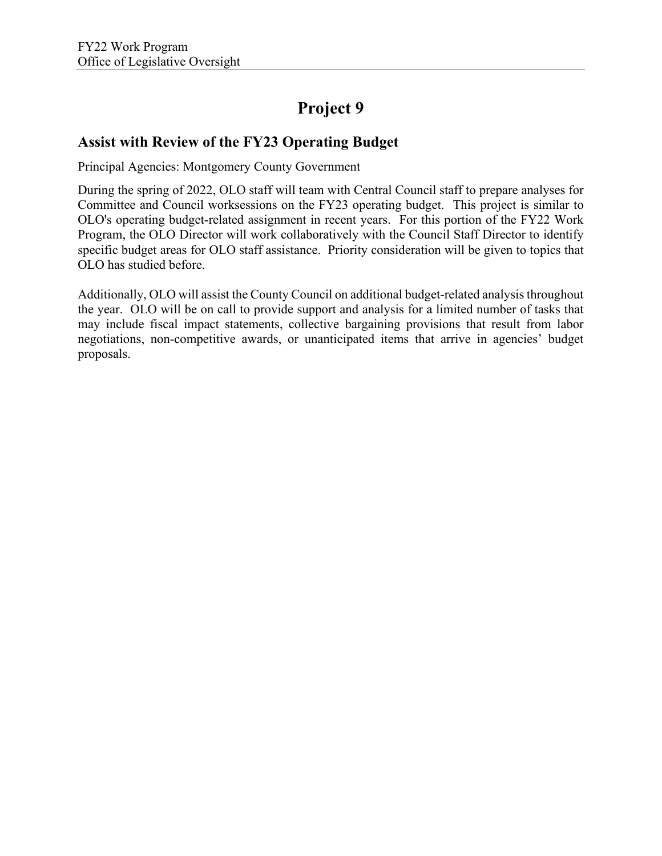### **Assist with Review of the FY23 Operating Budget**

Principal Agencies: Montgomery County Government

During the spring of 2022, OLO staff will team with Central Council staff to prepare analyses for Committee and Council worksessions on the FY23 operating budget. This project is similar to OLO's operating budget-related assignment in recent years. For this portion of the FY22 Work Program, the OLO Director will work collaboratively with the Council Staff Director to identify specific budget areas for OLO staff assistance. Priority consideration will be given to topics that OLO has studied before.

Additionally, OLO will assist the County Council on additional budget-related analysis throughout the year. OLO will be on call to provide support and analysis for a limited number of tasks that may include fiscal impact statements, collective bargaining provisions that result from labor negotiations, non-competitive awards, or unanticipated items that arrive in agencies' budget proposals.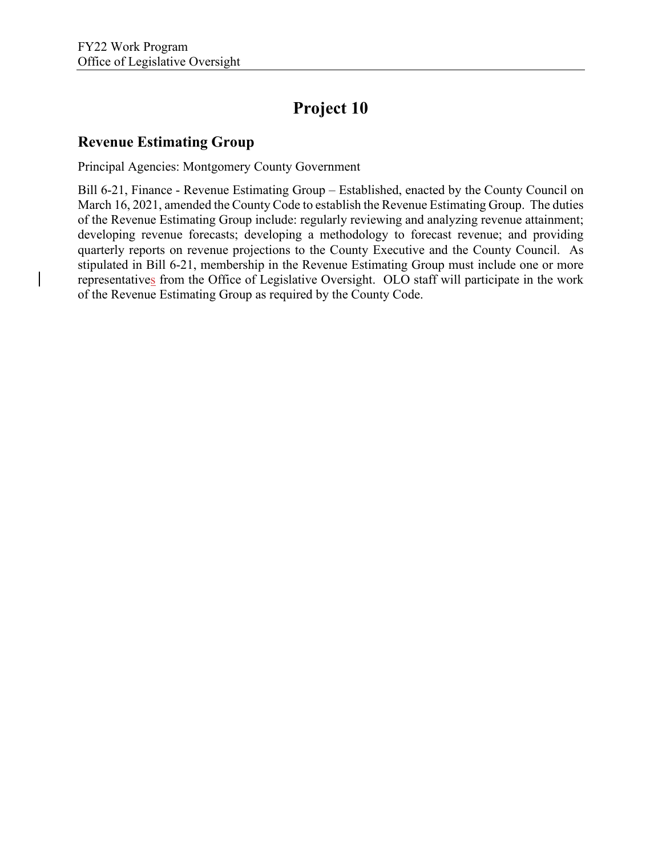### **Revenue Estimating Group**

Principal Agencies: Montgomery County Government

Bill 6-21, Finance - Revenue Estimating Group – Established, enacted by the County Council on March 16, 2021, amended the County Code to establish the Revenue Estimating Group. The duties of the Revenue Estimating Group include: regularly reviewing and analyzing revenue attainment; developing revenue forecasts; developing a methodology to forecast revenue; and providing quarterly reports on revenue projections to the County Executive and the County Council. As stipulated in Bill 6-21, membership in the Revenue Estimating Group must include one or more representatives from the Office of Legislative Oversight. OLO staff will participate in the work of the Revenue Estimating Group as required by the County Code.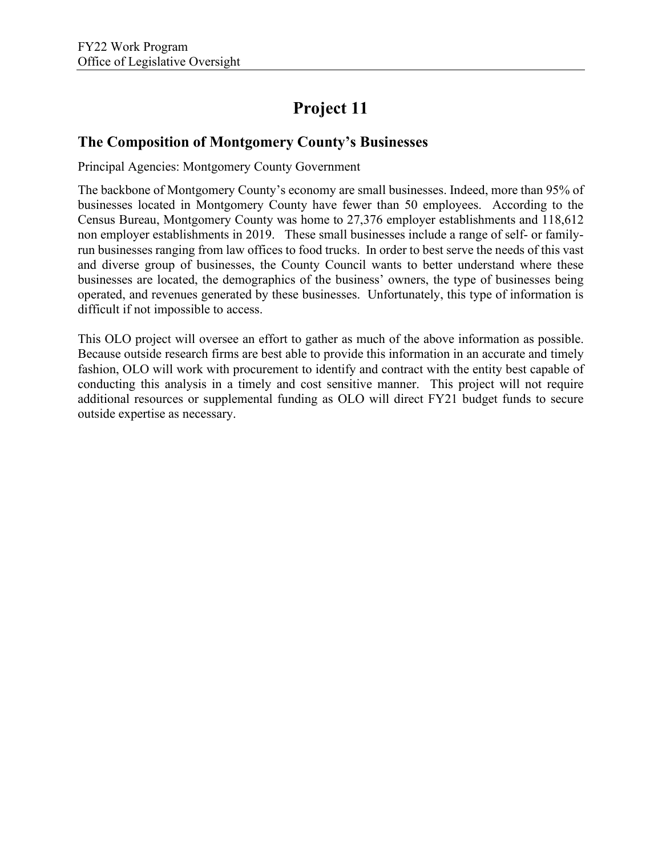### **The Composition of Montgomery County's Businesses**

Principal Agencies: Montgomery County Government

The backbone of Montgomery County's economy are small businesses. Indeed, more than 95% of businesses located in Montgomery County have fewer than 50 employees. According to the Census Bureau, Montgomery County was home to 27,376 employer establishments and 118,612 non employer establishments in 2019. These small businesses include a range of self- or familyrun businesses ranging from law offices to food trucks. In order to best serve the needs of this vast and diverse group of businesses, the County Council wants to better understand where these businesses are located, the demographics of the business' owners, the type of businesses being operated, and revenues generated by these businesses. Unfortunately, this type of information is difficult if not impossible to access.

This OLO project will oversee an effort to gather as much of the above information as possible. Because outside research firms are best able to provide this information in an accurate and timely fashion, OLO will work with procurement to identify and contract with the entity best capable of conducting this analysis in a timely and cost sensitive manner. This project will not require additional resources or supplemental funding as OLO will direct FY21 budget funds to secure outside expertise as necessary.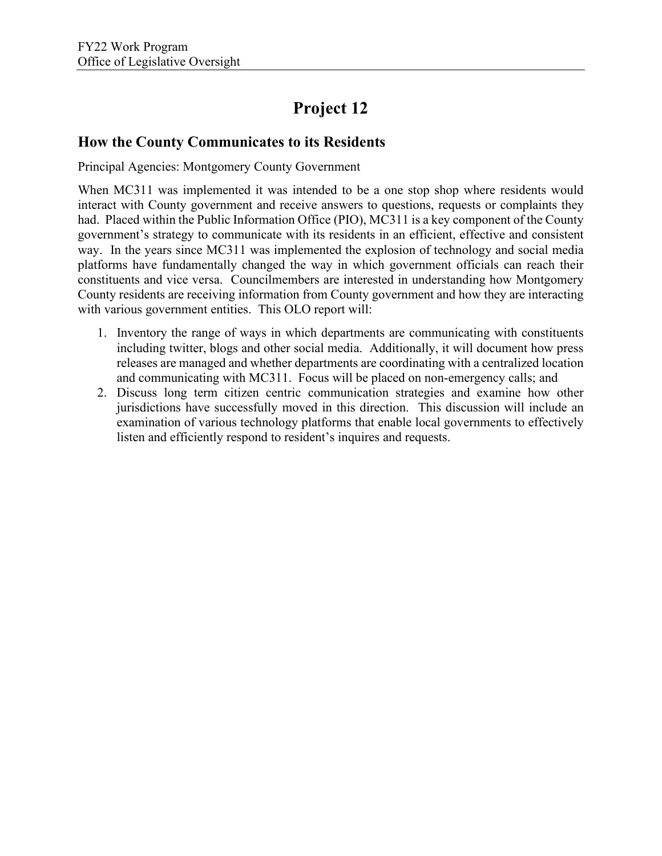### **How the County Communicates to its Residents**

Principal Agencies: Montgomery County Government

When MC311 was implemented it was intended to be a one stop shop where residents would interact with County government and receive answers to questions, requests or complaints they had. Placed within the Public Information Office (PIO), MC311 is a key component of the County government's strategy to communicate with its residents in an efficient, effective and consistent way. In the years since MC311 was implemented the explosion of technology and social media platforms have fundamentally changed the way in which government officials can reach their constituents and vice versa. Councilmembers are interested in understanding how Montgomery County residents are receiving information from County government and how they are interacting with various government entities. This OLO report will:

- 1. Inventory the range of ways in which departments are communicating with constituents including twitter, blogs and other social media. Additionally, it will document how press releases are managed and whether departments are coordinating with a centralized location and communicating with MC311. Focus will be placed on non-emergency calls; and
- 2. Discuss long term citizen centric communication strategies and examine how other jurisdictions have successfully moved in this direction. This discussion will include an examination of various technology platforms that enable local governments to effectively listen and efficiently respond to resident's inquires and requests.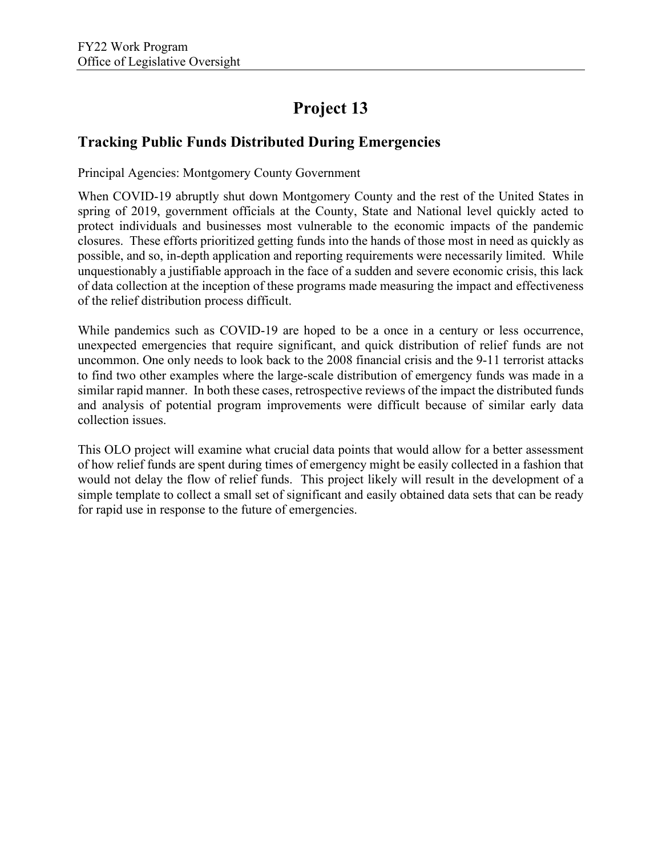### **Tracking Public Funds Distributed During Emergencies**

Principal Agencies: Montgomery County Government

When COVID-19 abruptly shut down Montgomery County and the rest of the United States in spring of 2019, government officials at the County, State and National level quickly acted to protect individuals and businesses most vulnerable to the economic impacts of the pandemic closures. These efforts prioritized getting funds into the hands of those most in need as quickly as possible, and so, in-depth application and reporting requirements were necessarily limited. While unquestionably a justifiable approach in the face of a sudden and severe economic crisis, this lack of data collection at the inception of these programs made measuring the impact and effectiveness of the relief distribution process difficult.

While pandemics such as COVID-19 are hoped to be a once in a century or less occurrence, unexpected emergencies that require significant, and quick distribution of relief funds are not uncommon. One only needs to look back to the 2008 financial crisis and the 9-11 terrorist attacks to find two other examples where the large-scale distribution of emergency funds was made in a similar rapid manner. In both these cases, retrospective reviews of the impact the distributed funds and analysis of potential program improvements were difficult because of similar early data collection issues.

This OLO project will examine what crucial data points that would allow for a better assessment of how relief funds are spent during times of emergency might be easily collected in a fashion that would not delay the flow of relief funds. This project likely will result in the development of a simple template to collect a small set of significant and easily obtained data sets that can be ready for rapid use in response to the future of emergencies.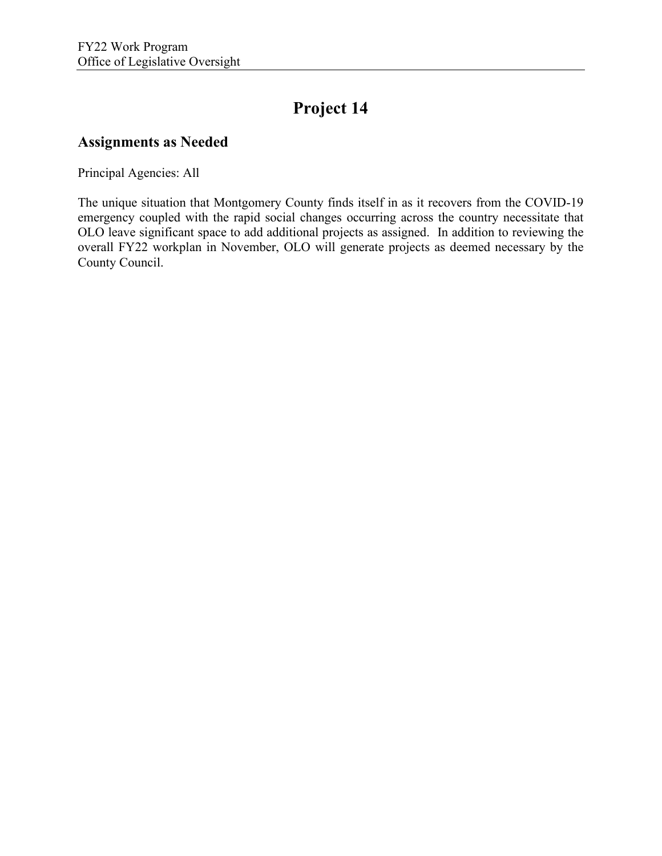### **Assignments as Needed**

Principal Agencies: All

The unique situation that Montgomery County finds itself in as it recovers from the COVID-19 emergency coupled with the rapid social changes occurring across the country necessitate that OLO leave significant space to add additional projects as assigned. In addition to reviewing the overall FY22 workplan in November, OLO will generate projects as deemed necessary by the County Council.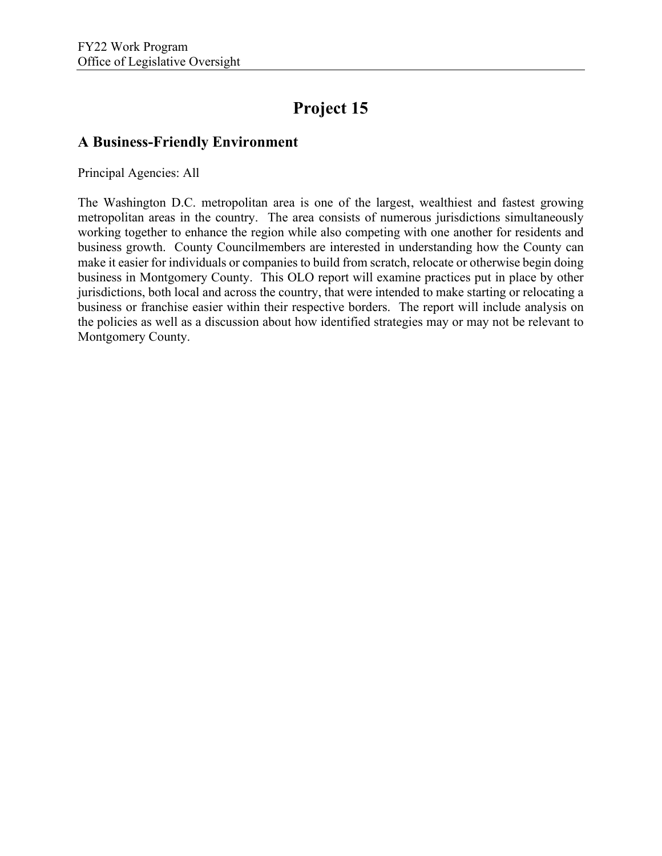#### **A Business-Friendly Environment**

Principal Agencies: All

The Washington D.C. metropolitan area is one of the largest, wealthiest and fastest growing metropolitan areas in the country. The area consists of numerous jurisdictions simultaneously working together to enhance the region while also competing with one another for residents and business growth. County Councilmembers are interested in understanding how the County can make it easier for individuals or companies to build from scratch, relocate or otherwise begin doing business in Montgomery County. This OLO report will examine practices put in place by other jurisdictions, both local and across the country, that were intended to make starting or relocating a business or franchise easier within their respective borders. The report will include analysis on the policies as well as a discussion about how identified strategies may or may not be relevant to Montgomery County.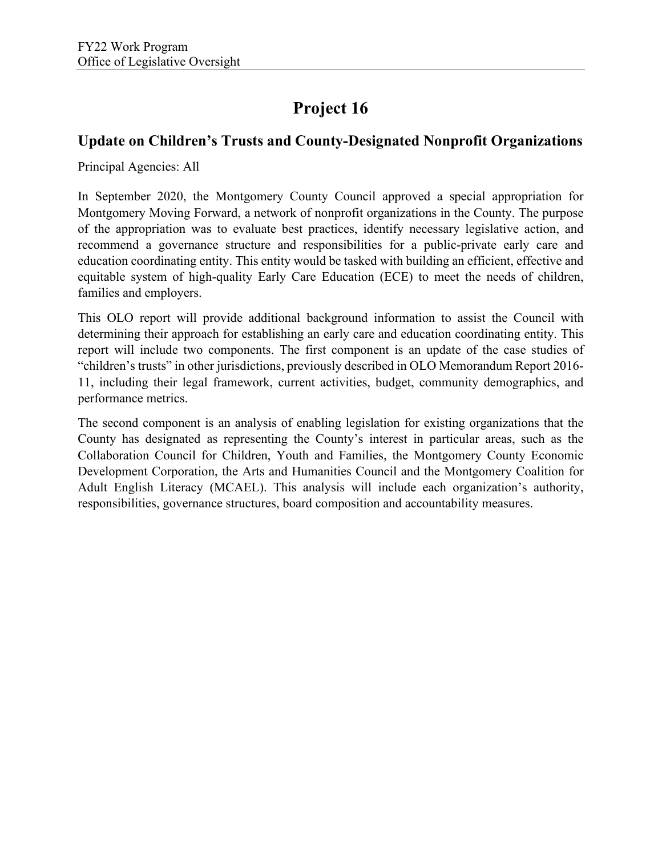### **Update on Children's Trusts and County-Designated Nonprofit Organizations**

Principal Agencies: All

In September 2020, the Montgomery County Council approved a special appropriation for Montgomery Moving Forward, a network of nonprofit organizations in the County. The purpose of the appropriation was to evaluate best practices, identify necessary legislative action, and recommend a governance structure and responsibilities for a public-private early care and education coordinating entity. This entity would be tasked with building an efficient, effective and equitable system of high-quality Early Care Education (ECE) to meet the needs of children, families and employers.

This OLO report will provide additional background information to assist the Council with determining their approach for establishing an early care and education coordinating entity. This report will include two components. The first component is an update of the case studies of "children's trusts" in other jurisdictions, previously described in OLO Memorandum Report 2016- 11, including their legal framework, current activities, budget, community demographics, and performance metrics.

The second component is an analysis of enabling legislation for existing organizations that the County has designated as representing the County's interest in particular areas, such as the Collaboration Council for Children, Youth and Families, the Montgomery County Economic Development Corporation, the Arts and Humanities Council and the Montgomery Coalition for Adult English Literacy (MCAEL). This analysis will include each organization's authority, responsibilities, governance structures, board composition and accountability measures.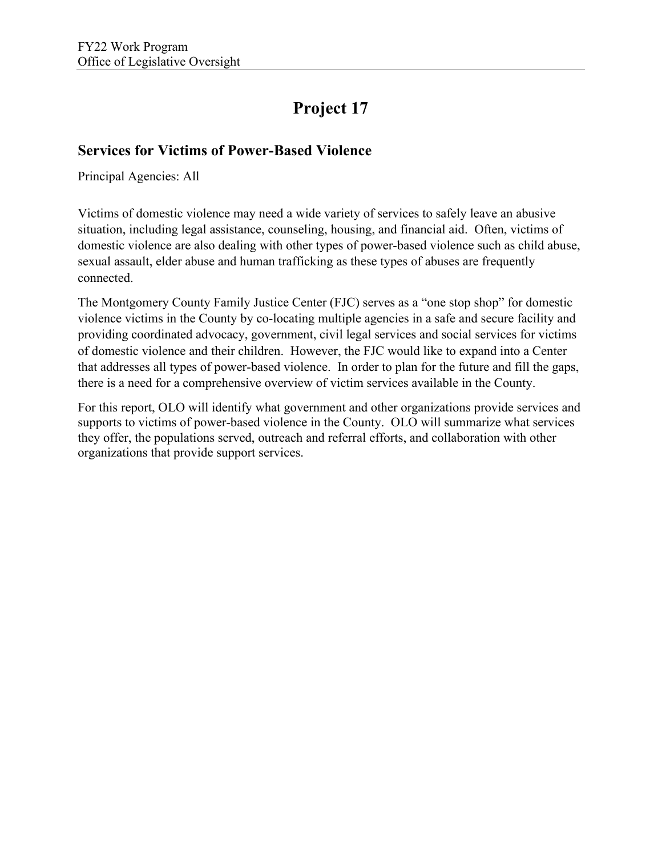### **Services for Victims of Power-Based Violence**

Principal Agencies: All

Victims of domestic violence may need a wide variety of services to safely leave an abusive situation, including legal assistance, counseling, housing, and financial aid. Often, victims of domestic violence are also dealing with other types of power-based violence such as child abuse, sexual assault, elder abuse and human trafficking as these types of abuses are frequently connected.

The Montgomery County Family Justice Center (FJC) serves as a "one stop shop" for domestic violence victims in the County by co-locating multiple agencies in a safe and secure facility and providing coordinated advocacy, government, civil legal services and social services for victims of domestic violence and their children. However, the FJC would like to expand into a Center that addresses all types of power-based violence. In order to plan for the future and fill the gaps, there is a need for a comprehensive overview of victim services available in the County.

For this report, OLO will identify what government and other organizations provide services and supports to victims of power-based violence in the County. OLO will summarize what services they offer, the populations served, outreach and referral efforts, and collaboration with other organizations that provide support services.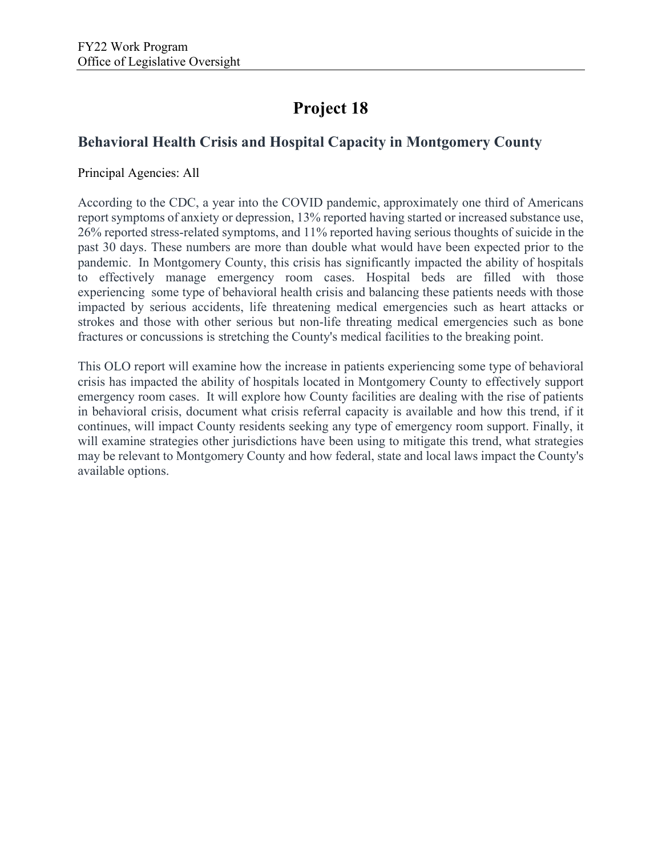### **Behavioral Health Crisis and Hospital Capacity in Montgomery County**

Principal Agencies: All

According to the CDC, a year into the COVID pandemic, approximately one third of Americans report symptoms of anxiety or depression, 13% reported having started or increased substance use, 26% reported stress-related symptoms, and 11% reported having serious thoughts of suicide in the past 30 days. These numbers are more than double what would have been expected prior to the pandemic. In Montgomery County, this crisis has significantly impacted the ability of hospitals to effectively manage emergency room cases. Hospital beds are filled with those experiencing some type of behavioral health crisis and balancing these patients needs with those impacted by serious accidents, life threatening medical emergencies such as heart attacks or strokes and those with other serious but non-life threating medical emergencies such as bone fractures or concussions is stretching the County's medical facilities to the breaking point.

This OLO report will examine how the increase in patients experiencing some type of behavioral crisis has impacted the ability of hospitals located in Montgomery County to effectively support emergency room cases. It will explore how County facilities are dealing with the rise of patients in behavioral crisis, document what crisis referral capacity is available and how this trend, if it continues, will impact County residents seeking any type of emergency room support. Finally, it will examine strategies other jurisdictions have been using to mitigate this trend, what strategies may be relevant to Montgomery County and how federal, state and local laws impact the County's available options.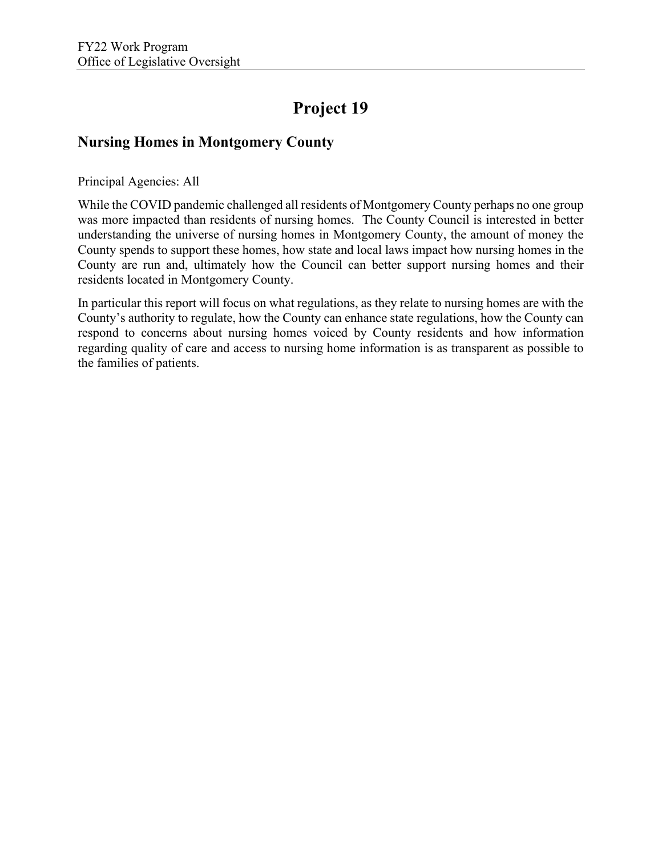### **Nursing Homes in Montgomery County**

Principal Agencies: All

While the COVID pandemic challenged all residents of Montgomery County perhaps no one group was more impacted than residents of nursing homes. The County Council is interested in better understanding the universe of nursing homes in Montgomery County, the amount of money the County spends to support these homes, how state and local laws impact how nursing homes in the County are run and, ultimately how the Council can better support nursing homes and their residents located in Montgomery County.

In particular this report will focus on what regulations, as they relate to nursing homes are with the County's authority to regulate, how the County can enhance state regulations, how the County can respond to concerns about nursing homes voiced by County residents and how information regarding quality of care and access to nursing home information is as transparent as possible to the families of patients.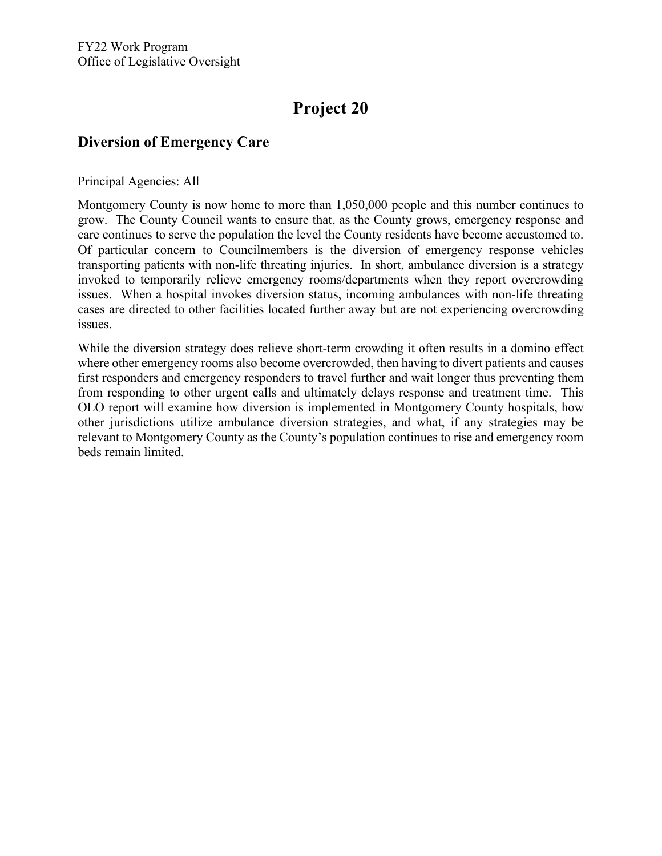### **Diversion of Emergency Care**

Principal Agencies: All

Montgomery County is now home to more than 1,050,000 people and this number continues to grow. The County Council wants to ensure that, as the County grows, emergency response and care continues to serve the population the level the County residents have become accustomed to. Of particular concern to Councilmembers is the diversion of emergency response vehicles transporting patients with non-life threating injuries. In short, ambulance diversion is a strategy invoked to temporarily relieve emergency rooms/departments when they report overcrowding issues. When a hospital invokes diversion status, incoming ambulances with non-life threating cases are directed to other facilities located further away but are not experiencing overcrowding issues.

While the diversion strategy does relieve short-term crowding it often results in a domino effect where other emergency rooms also become overcrowded, then having to divert patients and causes first responders and emergency responders to travel further and wait longer thus preventing them from responding to other urgent calls and ultimately delays response and treatment time. This OLO report will examine how diversion is implemented in Montgomery County hospitals, how other jurisdictions utilize ambulance diversion strategies, and what, if any strategies may be relevant to Montgomery County as the County's population continues to rise and emergency room beds remain limited.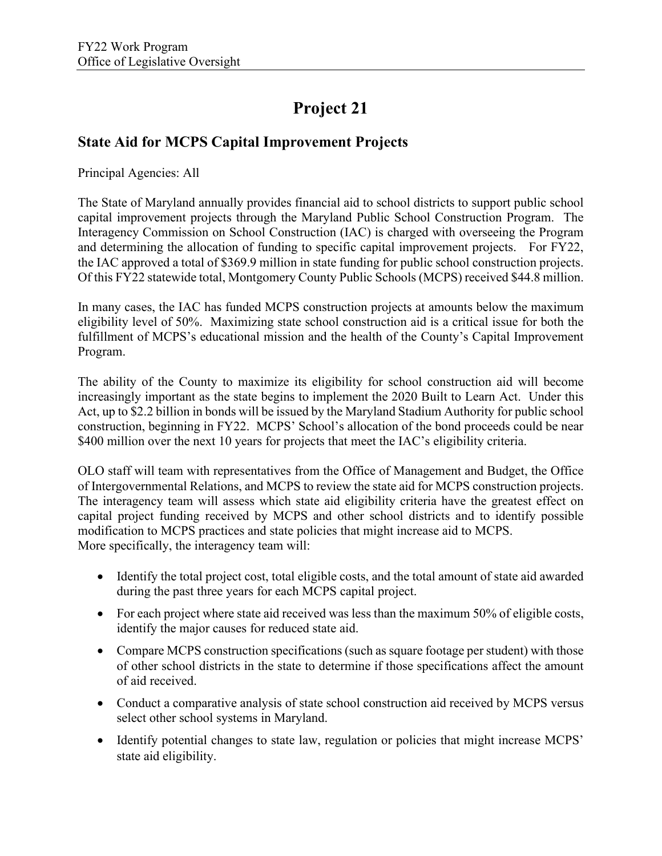### **State Aid for MCPS Capital Improvement Projects**

Principal Agencies: All

The State of Maryland annually provides financial aid to school districts to support public school capital improvement projects through the Maryland Public School Construction Program. The Interagency Commission on School Construction (IAC) is charged with overseeing the Program and determining the allocation of funding to specific capital improvement projects. For FY22, the IAC approved a total of \$369.9 million in state funding for public school construction projects. Of this FY22 statewide total, Montgomery County Public Schools (MCPS) received \$44.8 million.

In many cases, the IAC has funded MCPS construction projects at amounts below the maximum eligibility level of 50%. Maximizing state school construction aid is a critical issue for both the fulfillment of MCPS's educational mission and the health of the County's Capital Improvement Program.

The ability of the County to maximize its eligibility for school construction aid will become increasingly important as the state begins to implement the 2020 Built to Learn Act. Under this Act, up to \$2.2 billion in bonds will be issued by the Maryland Stadium Authority for public school construction, beginning in FY22. MCPS' School's allocation of the bond proceeds could be near \$400 million over the next 10 years for projects that meet the IAC's eligibility criteria.

OLO staff will team with representatives from the Office of Management and Budget, the Office of Intergovernmental Relations, and MCPS to review the state aid for MCPS construction projects. The interagency team will assess which state aid eligibility criteria have the greatest effect on capital project funding received by MCPS and other school districts and to identify possible modification to MCPS practices and state policies that might increase aid to MCPS. More specifically, the interagency team will:

- Identify the total project cost, total eligible costs, and the total amount of state aid awarded during the past three years for each MCPS capital project.
- For each project where state aid received was less than the maximum 50% of eligible costs, identify the major causes for reduced state aid.
- Compare MCPS construction specifications (such as square footage per student) with those of other school districts in the state to determine if those specifications affect the amount of aid received.
- Conduct a comparative analysis of state school construction aid received by MCPS versus select other school systems in Maryland.
- Identify potential changes to state law, regulation or policies that might increase MCPS' state aid eligibility.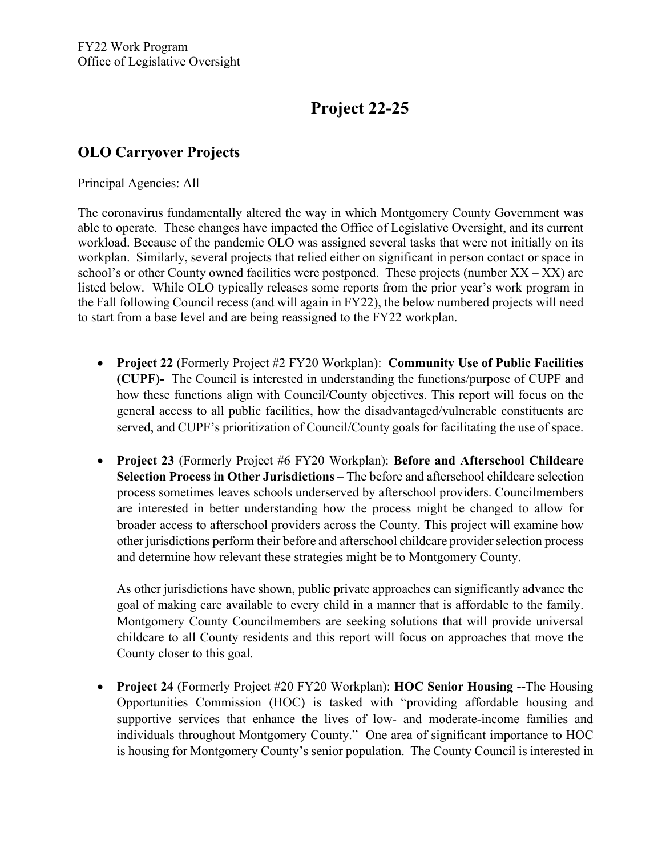### **Project 22-25**

### **OLO Carryover Projects**

Principal Agencies: All

The coronavirus fundamentally altered the way in which Montgomery County Government was able to operate. These changes have impacted the Office of Legislative Oversight, and its current workload. Because of the pandemic OLO was assigned several tasks that were not initially on its workplan. Similarly, several projects that relied either on significant in person contact or space in school's or other County owned facilities were postponed. These projects (number  $XX - XX$ ) are listed below. While OLO typically releases some reports from the prior year's work program in the Fall following Council recess (and will again in FY22), the below numbered projects will need to start from a base level and are being reassigned to the FY22 workplan.

- **Project 22** (Formerly Project #2 FY20 Workplan): **Community Use of Public Facilities (CUPF)-** The Council is interested in understanding the functions/purpose of CUPF and how these functions align with Council/County objectives. This report will focus on the general access to all public facilities, how the disadvantaged/vulnerable constituents are served, and CUPF's prioritization of Council/County goals for facilitating the use of space.
- **Project 23** (Formerly Project #6 FY20 Workplan): **Before and Afterschool Childcare Selection Process in Other Jurisdictions** – The before and afterschool childcare selection process sometimes leaves schools underserved by afterschool providers. Councilmembers are interested in better understanding how the process might be changed to allow for broader access to afterschool providers across the County. This project will examine how other jurisdictions perform their before and afterschool childcare provider selection process and determine how relevant these strategies might be to Montgomery County.

As other jurisdictions have shown, public private approaches can significantly advance the goal of making care available to every child in a manner that is affordable to the family. Montgomery County Councilmembers are seeking solutions that will provide universal childcare to all County residents and this report will focus on approaches that move the County closer to this goal.

• **Project 24** (Formerly Project #20 FY20 Workplan): **HOC Senior Housing --**The Housing Opportunities Commission (HOC) is tasked with "providing affordable housing and supportive services that enhance the lives of low- and moderate-income families and individuals throughout Montgomery County." One area of significant importance to HOC is housing for Montgomery County's senior population. The County Council is interested in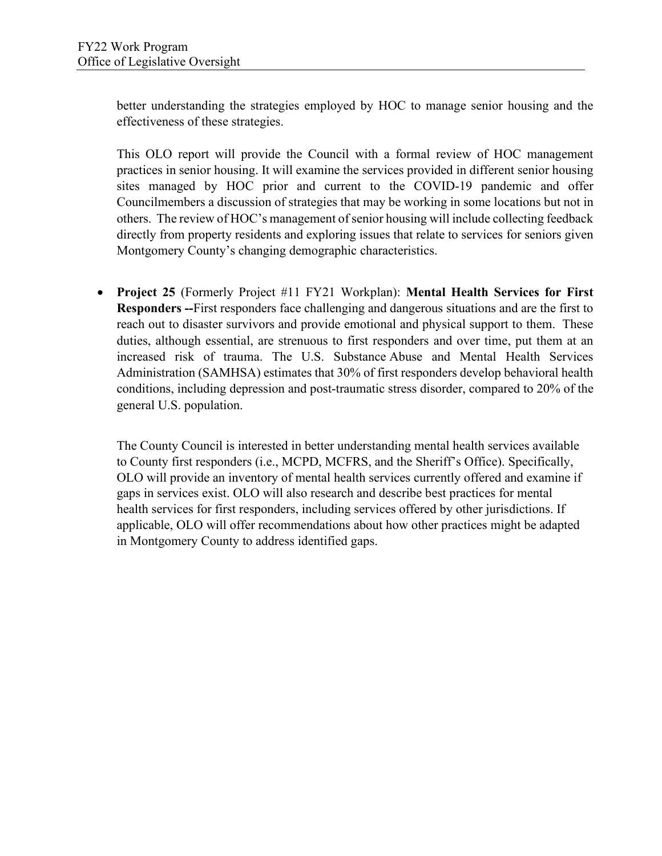better understanding the strategies employed by HOC to manage senior housing and the effectiveness of these strategies.

This OLO report will provide the Council with a formal review of HOC management practices in senior housing. It will examine the services provided in different senior housing sites managed by HOC prior and current to the COVID-19 pandemic and offer Councilmembers a discussion of strategies that may be working in some locations but not in others. The review of HOC's management of senior housing will include collecting feedback directly from property residents and exploring issues that relate to services for seniors given Montgomery County's changing demographic characteristics.

• **Project 25** (Formerly Project #11 FY21 Workplan): **Mental Health Services for First Responders --**First responders face challenging and dangerous situations and are the first to reach out to disaster survivors and provide emotional and physical support to them. These duties, although essential, are strenuous to first responders and over time, put them at an increased risk of trauma. The U.S. Substance Abuse and Mental Health Services Administration (SAMHSA) estimates that 30% of first responders develop behavioral health conditions, including depression and post-traumatic stress disorder, compared to 20% of the general U.S. population.

The County Council is interested in better understanding mental health services available to County first responders (i.e., MCPD, MCFRS, and the Sheriff's Office). Specifically, OLO will provide an inventory of mental health services currently offered and examine if gaps in services exist. OLO will also research and describe best practices for mental health services for first responders, including services offered by other jurisdictions. If applicable, OLO will offer recommendations about how other practices might be adapted in Montgomery County to address identified gaps.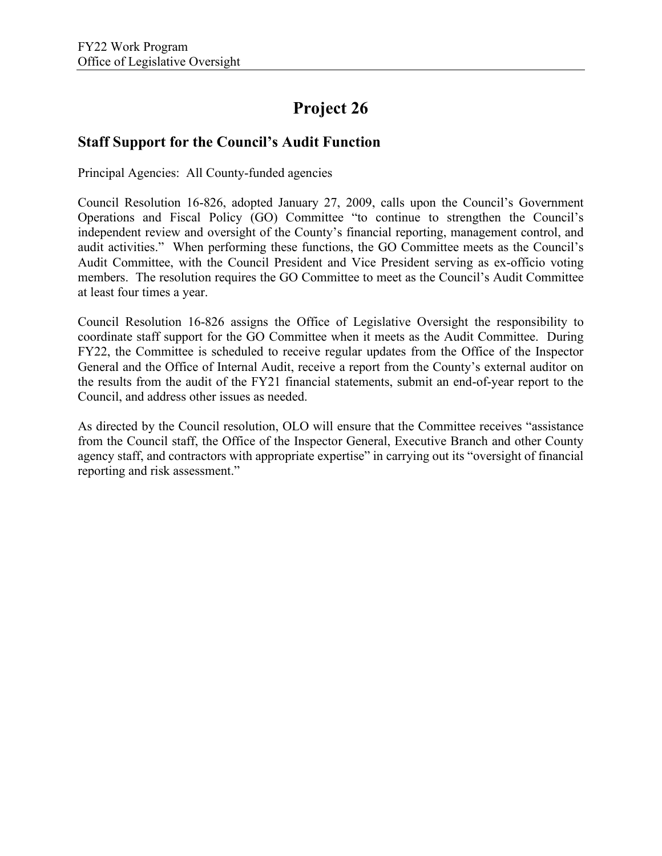### **Staff Support for the Council's Audit Function**

Principal Agencies: All County-funded agencies

Council Resolution 16-826, adopted January 27, 2009, calls upon the Council's Government Operations and Fiscal Policy (GO) Committee "to continue to strengthen the Council's independent review and oversight of the County's financial reporting, management control, and audit activities." When performing these functions, the GO Committee meets as the Council's Audit Committee, with the Council President and Vice President serving as ex-officio voting members. The resolution requires the GO Committee to meet as the Council's Audit Committee at least four times a year.

Council Resolution 16-826 assigns the Office of Legislative Oversight the responsibility to coordinate staff support for the GO Committee when it meets as the Audit Committee. During FY22, the Committee is scheduled to receive regular updates from the Office of the Inspector General and the Office of Internal Audit, receive a report from the County's external auditor on the results from the audit of the FY21 financial statements, submit an end-of-year report to the Council, and address other issues as needed.

As directed by the Council resolution, OLO will ensure that the Committee receives "assistance from the Council staff, the Office of the Inspector General, Executive Branch and other County agency staff, and contractors with appropriate expertise" in carrying out its "oversight of financial reporting and risk assessment."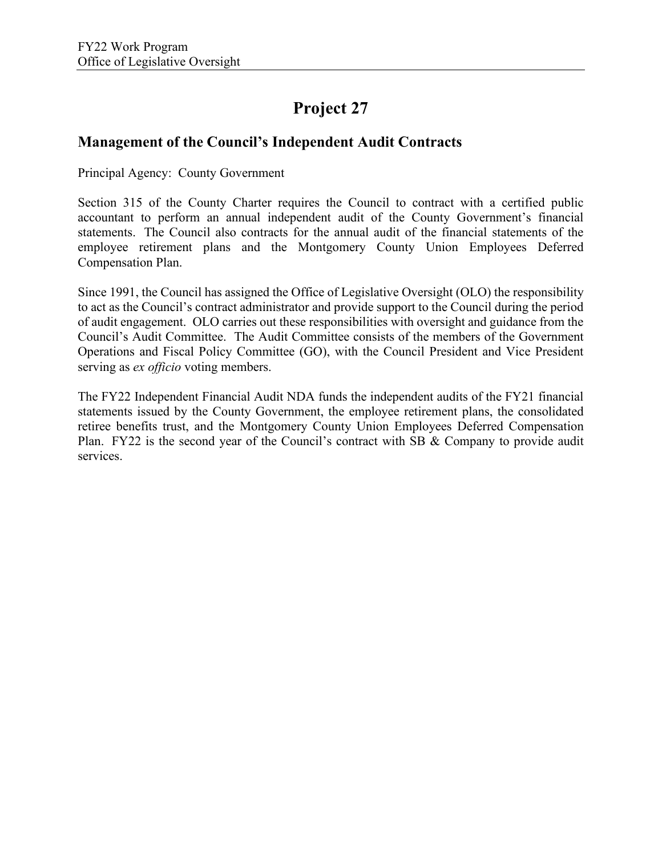### **Management of the Council's Independent Audit Contracts**

Principal Agency: County Government

Section 315 of the County Charter requires the Council to contract with a certified public accountant to perform an annual independent audit of the County Government's financial statements. The Council also contracts for the annual audit of the financial statements of the employee retirement plans and the Montgomery County Union Employees Deferred Compensation Plan.

Since 1991, the Council has assigned the Office of Legislative Oversight (OLO) the responsibility to act as the Council's contract administrator and provide support to the Council during the period of audit engagement. OLO carries out these responsibilities with oversight and guidance from the Council's Audit Committee. The Audit Committee consists of the members of the Government Operations and Fiscal Policy Committee (GO), with the Council President and Vice President serving as *ex officio* voting members.

The FY22 Independent Financial Audit NDA funds the independent audits of the FY21 financial statements issued by the County Government, the employee retirement plans, the consolidated retiree benefits trust, and the Montgomery County Union Employees Deferred Compensation Plan. FY22 is the second year of the Council's contract with SB & Company to provide audit services.